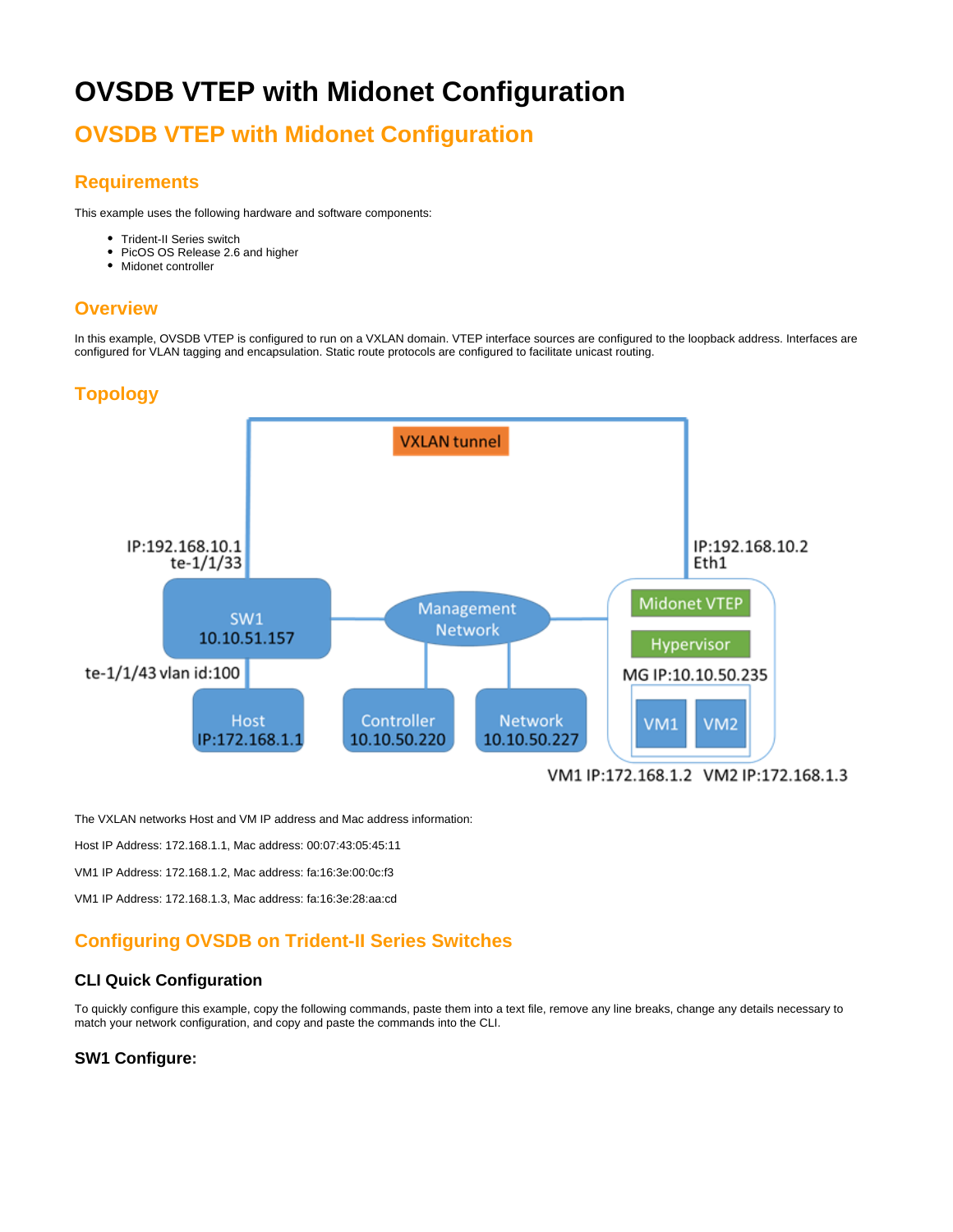# **OVSDB VTEP with Midonet Configuration**

# **OVSDB VTEP with Midonet Configuration**

# **Requirements**

This example uses the following hardware and software components:

- Trident-II Series switch
- PicOS OS Release 2.6 and higher
- Midonet controller

# **Overview**

In this example, OVSDB VTEP is configured to run on a VXLAN domain. VTEP interface sources are configured to the loopback address. Interfaces are configured for VLAN tagging and encapsulation. Static route protocols are configured to facilitate unicast routing.

# **Topology**



The VXLAN networks Host and VM IP address and Mac address information:

Host IP Address: 172.168.1.1, Mac address: 00:07:43:05:45:11

VM1 IP Address: 172.168.1.2, Mac address: fa:16:3e:00:0c:f3

VM1 IP Address: 172.168.1.3, Mac address: fa:16:3e:28:aa:cd

# **Configuring OVSDB on Trident-II Series Switches**

## **CLI Quick Configuration**

To quickly configure this example, copy the following commands, paste them into a text file, remove any line breaks, change any details necessary to match your network configuration, and copy and paste the commands into the CLI.

## **SW1 Configure:**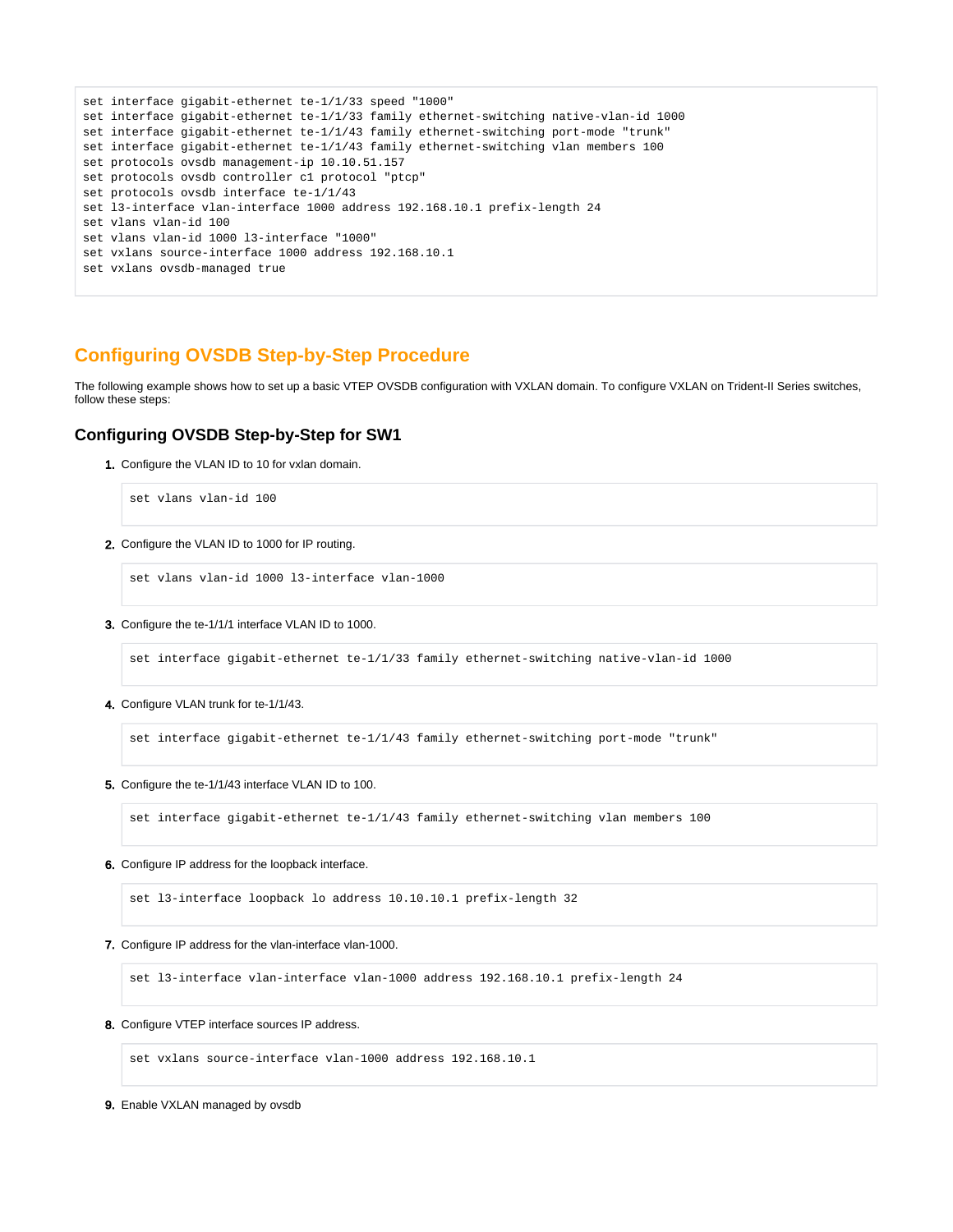```
set interface gigabit-ethernet te-1/1/33 speed "1000"
set interface gigabit-ethernet te-1/1/33 family ethernet-switching native-vlan-id 1000
set interface gigabit-ethernet te-1/1/43 family ethernet-switching port-mode "trunk"
set interface gigabit-ethernet te-1/1/43 family ethernet-switching vlan members 100
set protocols ovsdb management-ip 10.10.51.157
set protocols ovsdb controller c1 protocol "ptcp"
set protocols ovsdb interface te-1/1/43
set l3-interface vlan-interface 1000 address 192.168.10.1 prefix-length 24
set vlans vlan-id 100
set vlans vlan-id 1000 l3-interface "1000"
set vxlans source-interface 1000 address 192.168.10.1
set vxlans ovsdb-managed true
```
# **Configuring OVSDB Step-by-Step Procedure**

The following example shows how to set up a basic VTEP OVSDB configuration with VXLAN domain. To configure VXLAN on Trident-II Series switches, follow these steps:

### **Configuring OVSDB Step-by-Step for SW1**

1. Configure the VLAN ID to 10 for vxlan domain.

```
set vlans vlan-id 100
```
2. Configure the VLAN ID to 1000 for IP routing.

set vlans vlan-id 1000 l3-interface vlan-1000

3. Configure the te-1/1/1 interface VLAN ID to 1000.

set interface gigabit-ethernet te-1/1/33 family ethernet-switching native-vlan-id 1000

4. Configure VLAN trunk for te-1/1/43.

set interface gigabit-ethernet te-1/1/43 family ethernet-switching port-mode "trunk"

5. Configure the te-1/1/43 interface VLAN ID to 100.

set interface gigabit-ethernet te-1/1/43 family ethernet-switching vlan members 100

6. Configure IP address for the loopback interface.

set l3-interface loopback lo address 10.10.10.1 prefix-length 32

7. Configure IP address for the vlan-interface vlan-1000.

set l3-interface vlan-interface vlan-1000 address 192.168.10.1 prefix-length 24

8. Configure VTEP interface sources IP address.

set vxlans source-interface vlan-1000 address 192.168.10.1

9. Enable VXLAN managed by ovsdb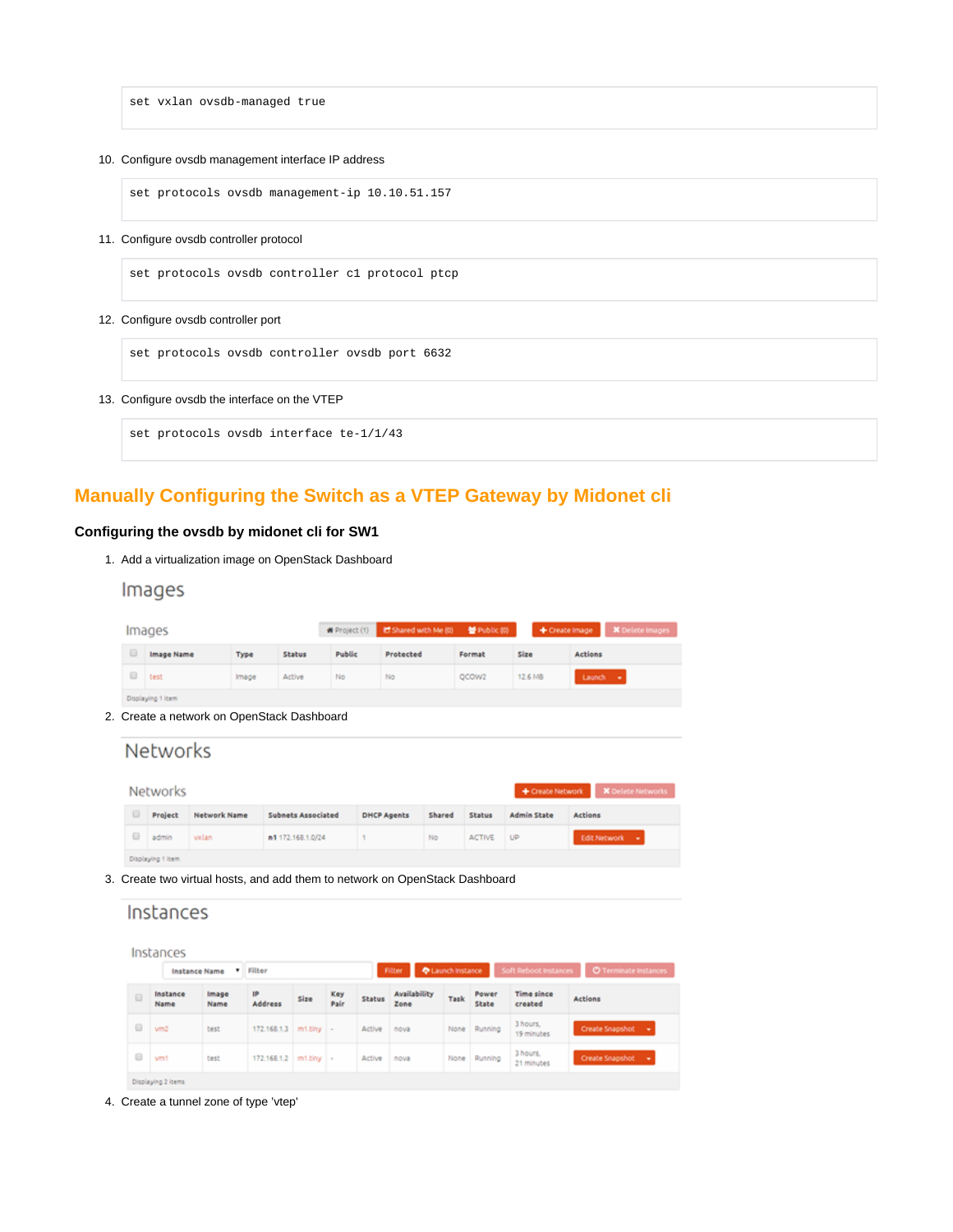set vxlan ovsdb-managed true

#### 10. Configure ovsdb management interface IP address

set protocols ovsdb management-ip 10.10.51.157

#### 11. Configure ovsdb controller protocol

set protocols ovsdb controller c1 protocol ptcp

#### 12. Configure ovsdb controller port

set protocols ovsdb controller ovsdb port 6632

#### 13. Configure ovsdb the interface on the VTEP

set protocols ovsdb interface te-1/1/43

# **Manually Configuring the Switch as a VTEP Gateway by Midonet cli**

### **Configuring the ovsdb by midonet cli for SW1**

1. Add a virtualization image on OpenStack Dashboard

# Images

|  |                                                                                    | Images                                     |                                         |                           |              | <b>W</b> Project (1) | Ef Shared with Me (0) |                     | 불 Public (0)    | + Create Image               | <b>X</b> Delete Images       |  |  |
|--|------------------------------------------------------------------------------------|--------------------------------------------|-----------------------------------------|---------------------------|--------------|----------------------|-----------------------|---------------------|-----------------|------------------------------|------------------------------|--|--|
|  | ⊟                                                                                  | Image Name                                 |                                         | Type<br>Status            |              | Public               | Protected             |                     | Format          | Size                         | Actions                      |  |  |
|  | 8                                                                                  | test                                       |                                         | Image                     | No<br>Active |                      | No                    |                     | OCOW2           | 12.6 MB                      | Launch +                     |  |  |
|  | Displaying 1 item                                                                  |                                            |                                         |                           |              |                      |                       |                     |                 |                              |                              |  |  |
|  |                                                                                    | 2. Create a network on OpenStack Dashboard |                                         |                           |              |                      |                       |                     |                 |                              |                              |  |  |
|  | <b>Networks</b><br><b>Networks</b><br>+ Create Network<br><b>X</b> Delete Networks |                                            |                                         |                           |              |                      |                       |                     |                 |                              |                              |  |  |
|  | ⊟<br>Project                                                                       |                                            | <b>Network Name</b>                     | <b>Subnets Associated</b> |              |                      | <b>DHCP Agents</b>    | Shared<br>Status    |                 | <b>Admin State</b>           | <b>Actions</b>               |  |  |
|  | 8                                                                                  | admin                                      | vxlan                                   | n1 172.168.1.0/24         |              | ٠                    |                       | No<br><b>ACTIVE</b> |                 | UP                           | Edit Network v               |  |  |
|  | Displaying 1 item                                                                  |                                            |                                         |                           |              |                      |                       |                     |                 |                              |                              |  |  |
|  | 3. Create two virtual hosts, and add them to network on OpenStack Dashboard        |                                            |                                         |                           |              |                      |                       |                     |                 |                              |                              |  |  |
|  | Instances                                                                          |                                            |                                         |                           |              |                      |                       |                     |                 |                              |                              |  |  |
|  | Instances                                                                          |                                            |                                         |                           |              |                      |                       |                     |                 |                              |                              |  |  |
|  |                                                                                    |                                            | Filter<br>Instance Name<br>$\mathbf{v}$ |                           |              | Filter               |                       |                     | Launch Instance | <b>Soft Reboot Instances</b> | <b>O</b> Terminate Instances |  |  |

|   | Instance Name      |                      | v Filber              |      |             |        | C Launch Instance<br>Filter. |  |      |                |                              | Soft Reboot Instances   © Terminate Instances |
|---|--------------------|----------------------|-----------------------|------|-------------|--------|------------------------------|--|------|----------------|------------------------------|-----------------------------------------------|
| ⊟ | Instance<br>Name   | <b>Image</b><br>Name | IP<br><b>Address</b>  | Size | Key<br>Pair | Status | <b>Availability</b><br>Zone  |  | Task | Power<br>State | <b>Time since</b><br>created | Actions                                       |
| 0 | $v = 2$            | test                 | 172.168.1.3 m1.tiny - |      |             | Active | nova                         |  | None | Running        | 3 hours.<br>19 minutes       | Create Snapshot<br>- 40                       |
| 0 | ym1                | test.                | 172.168.1.2 m1.tiny - |      |             | Active | nova                         |  | None | Running        | 3 hours.<br>21 minutes       | Create Snapshot<br>$\sim$                     |
|   | Displaying 2 items |                      |                       |      |             |        |                              |  |      |                |                              |                                               |

4. Create a tunnel zone of type 'vtep'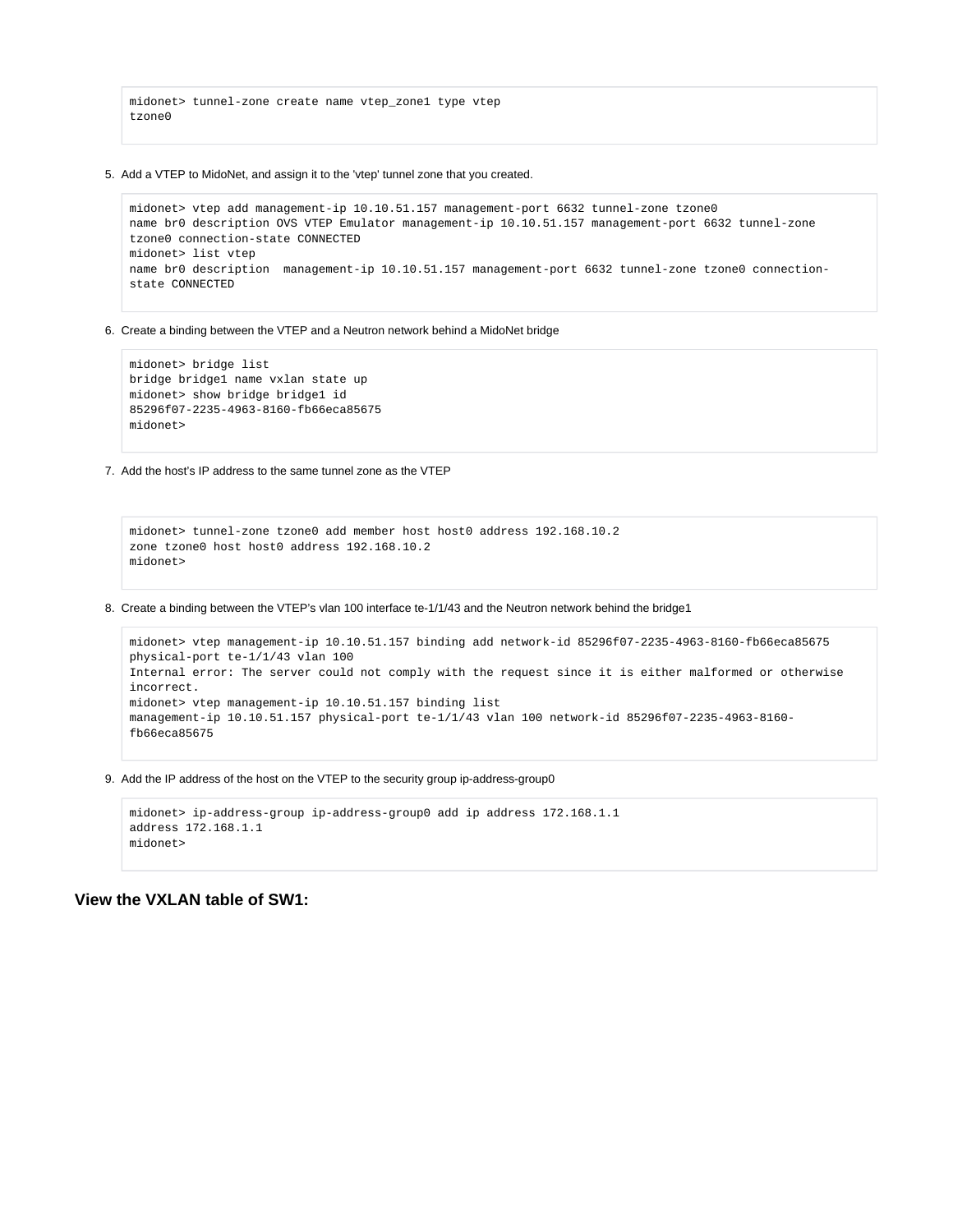```
midonet> tunnel-zone create name vtep_zone1 type vtep
tzone0
```
5. Add a VTEP to MidoNet, and assign it to the 'vtep' tunnel zone that you created.

```
midonet> vtep add management-ip 10.10.51.157 management-port 6632 tunnel-zone tzone0
name br0 description OVS VTEP Emulator management-ip 10.10.51.157 management-port 6632 tunnel-zone 
tzone0 connection-state CONNECTED
midonet> list vtep
name br0 description management-ip 10.10.51.157 management-port 6632 tunnel-zone tzone0 connection-
state CONNECTED
```
6. Create a binding between the VTEP and a Neutron network behind a MidoNet bridge

```
midonet> bridge list
bridge bridge1 name vxlan state up
midonet> show bridge bridge1 id
85296f07-2235-4963-8160-fb66eca85675
midonet>
```
7. Add the host's IP address to the same tunnel zone as the VTEP

```
midonet> tunnel-zone tzone0 add member host host0 address 192.168.10.2
zone tzone0 host host0 address 192.168.10.2
midonet>
```
8. Create a binding between the VTEP's vlan 100 interface te-1/1/43 and the Neutron network behind the bridge1

```
midonet> vtep management-ip 10.10.51.157 binding add network-id 85296f07-2235-4963-8160-fb66eca85675 
physical-port te-1/1/43 vlan 100
Internal error: The server could not comply with the request since it is either malformed or otherwise 
incorrect.
midonet> vtep management-ip 10.10.51.157 binding list
management-ip 10.10.51.157 physical-port te-1/1/43 vlan 100 network-id 85296f07-2235-4963-8160-
fb66eca85675
```
9. Add the IP address of the host on the VTEP to the security group ip-address-group0

```
midonet> ip-address-group ip-address-group0 add ip address 172.168.1.1
address 172.168.1.1
midonet>
```
**View the VXLAN table of SW1:**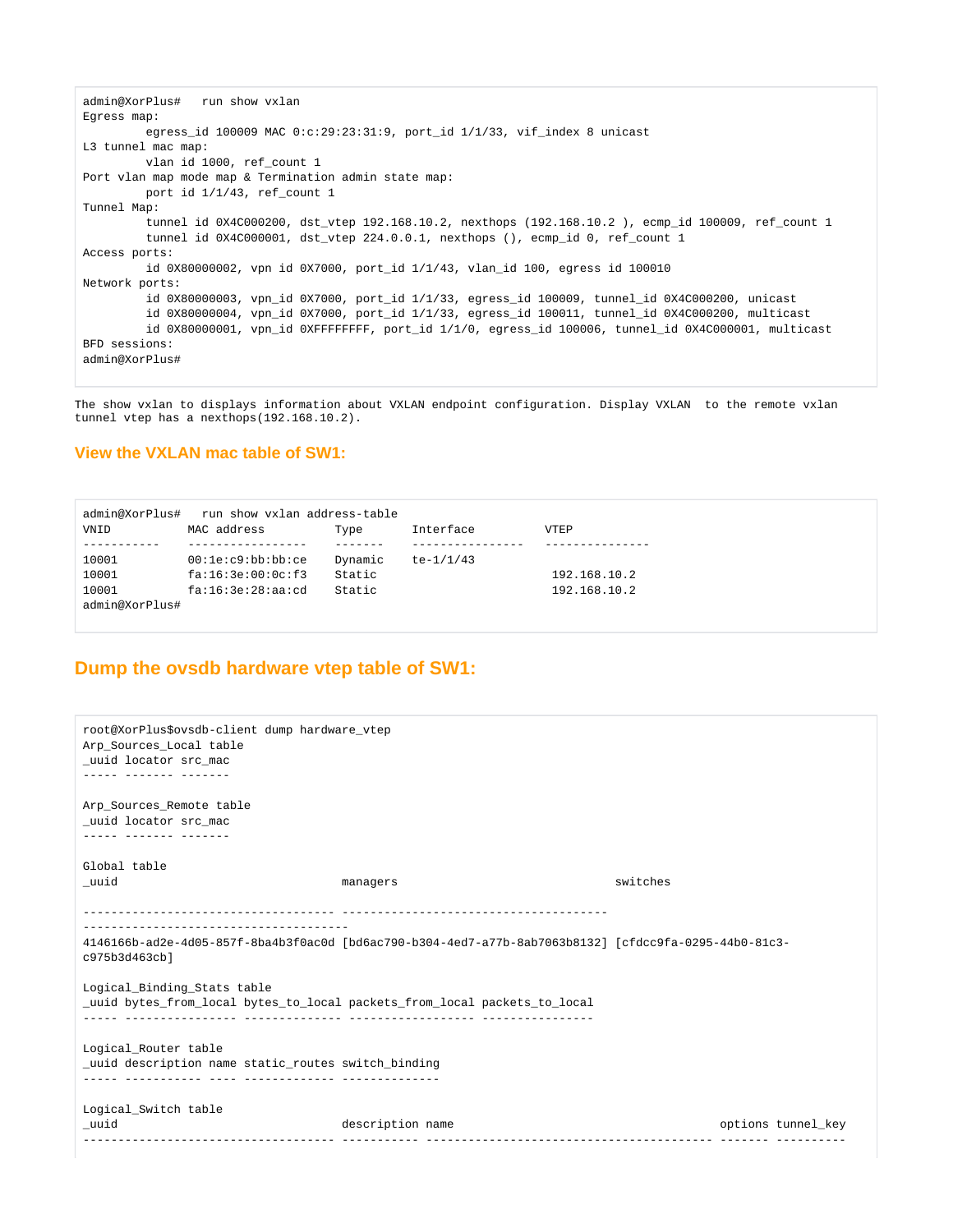```
admin@XorPlus# run show vxlan 
Egress map:
        egress id 100009 MAC 0:c:29:23:31:9, port id 1/1/33, vif index 8 unicast
L3 tunnel mac map:
         vlan id 1000, ref_count 1
Port vlan map mode map & Termination admin state map:
         port id 1/1/43, ref_count 1
Tunnel Map:
         tunnel id 0X4C000200, dst_vtep 192.168.10.2, nexthops (192.168.10.2 ), ecmp_id 100009, ref_count 1
         tunnel id 0X4C000001, dst_vtep 224.0.0.1, nexthops (), ecmp_id 0, ref_count 1
Access ports:
        id 0X80000002, vpn id 0X7000, port id 1/1/43, vlan id 100, egress id 100010
Network ports:
          id 0X80000003, vpn_id 0X7000, port_id 1/1/33, egress_id 100009, tunnel_id 0X4C000200, unicast
          id 0X80000004, vpn_id 0X7000, port_id 1/1/33, egress_id 100011, tunnel_id 0X4C000200, multicast
        id 0X80000001, vpn id 0XFFFFFFFF, port id 1/1/0, egress id 100006, tunnel id 0X4C000001, multicast
BFD sessions:
admin@XorPlus#
```
The show vxlan to displays information about VXLAN endpoint configuration. Display VXLAN to the remote vxlan tunnel vtep has a nexthops(192.168.10.2).

### **View the VXLAN mac table of SW1:**

| admin@XorPlus# | run show vxlan address-table |         |             |              |
|----------------|------------------------------|---------|-------------|--------------|
| <b>VNTD</b>    | MAC address                  | Type    | Interface   | <b>VTEP</b>  |
|                |                              |         |             |              |
| 10001          | 00:1e:cg:bb:bb:cc            | Dynamic | $te-1/1/43$ |              |
| 10001          | fa:16:3e:00:0c:f3            | Static  |             | 192.168.10.2 |
| 10001          | fa:16:3e:28:aa:cd            | Static  |             | 192.168.10.2 |
| admin@XorPlus# |                              |         |             |              |

# **Dump the ovsdb hardware vtep table of SW1:**

```
root@XorPlus$ovsdb-client dump hardware_vtep
Arp_Sources_Local table
_uuid locator src_mac
----- ------- -------
Arp_Sources_Remote_table
_uuid locator src_mac
----- ------- -------
Global table
_uuid managers switches 
       ------------------------------------ -------------------------------------- 
--------------------------------------
4146166b-ad2e-4d05-857f-8ba4b3f0ac0d [bd6ac790-b304-4ed7-a77b-8ab7063b8132] [cfdcc9fa-0295-44b0-81c3-
c975b3d463cb]
Logical_Binding_Stats table
_uuid bytes_from_local bytes_to_local packets_from_local packets_to_local
----- ---------------- -------------- ------------------ ----------------
Logical_Router table
_uuid description name static_routes switch_binding
----- ----------- ---- ------------- --------------
Logical_Switch table
_uuid description name options tunnel_key
------------------------------------ ----------- ----------------------------------------- ------- ----------
```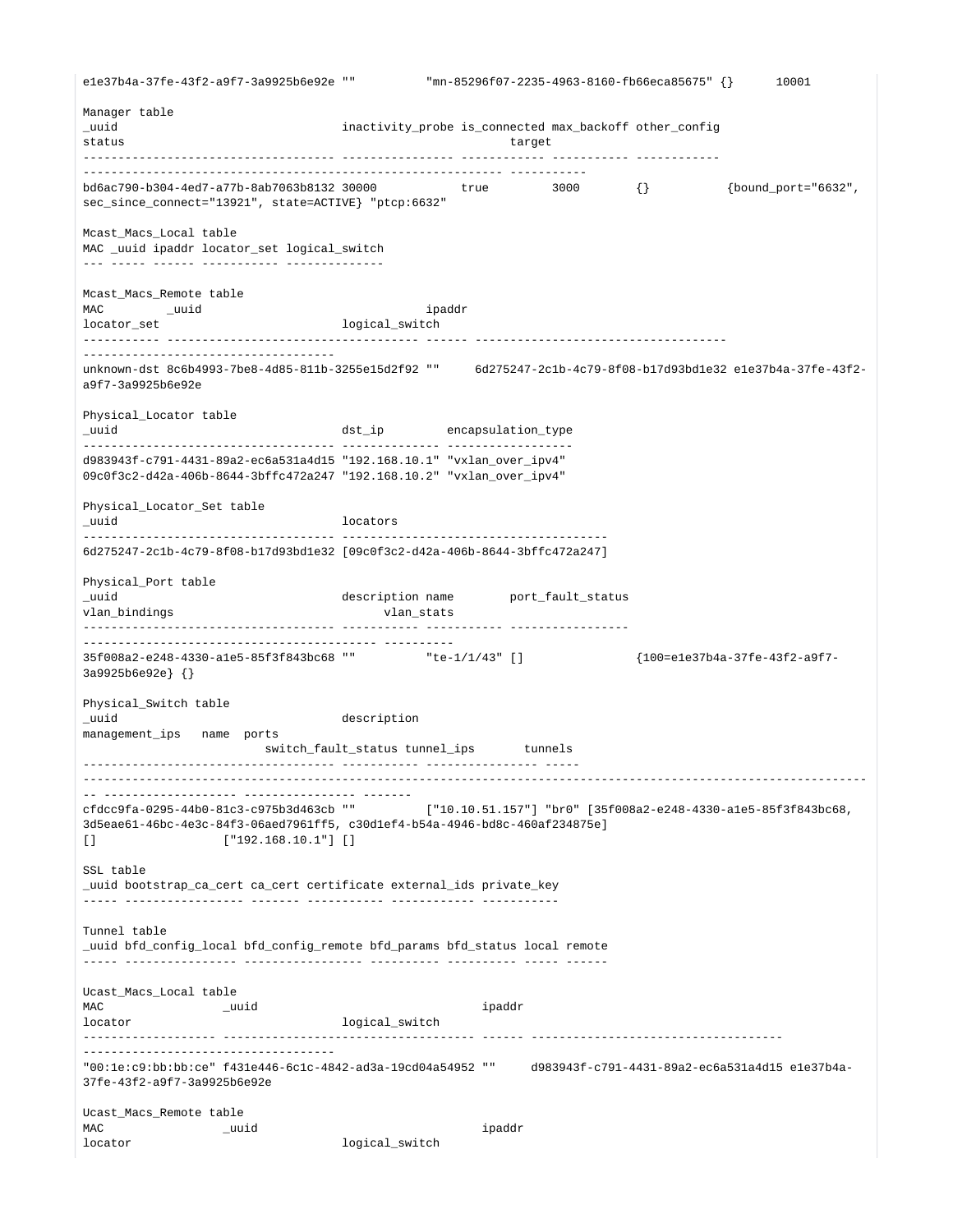e1e37b4a-37fe-43f2-a9f7-3a9925b6e92e "" "mn-85296f07-2235-4963-8160-fb66eca85675" {} 10001 Manager table \_uuid inactivity\_probe is\_connected max\_backoff other\_config status target ------------------------------------ ---------------- ------------ ----------- ------------ ------------------------------------------------------------ ---------- bd6ac790-b304-4ed7-a77b-8ab7063b8132 30000 true 3000 {} {bound\_port="6632", sec\_since\_connect="13921", state=ACTIVE} "ptcp:6632" Mcast\_Macs\_Local table MAC \_uuid ipaddr locator\_set logical\_switch --- ----- ------ ----------- -------------- Mcast\_Macs\_Remote table MAC \_uuid ipaddr locator\_set logical\_switch ----------- ------------------------------------ ------ ------------------------------------ ----------------------------------- unknown-dst 8c6b4993-7be8-4d85-811b-3255e15d2f92 "" 6d275247-2c1b-4c79-8f08-b17d93bd1e32 e1e37b4a-37fe-43f2 a9f7-3a9925b6e92e Physical\_Locator table \_uuid dst\_ip encapsulation\_type ------------------------------------ -------------- ----------------- d983943f-c791-4431-89a2-ec6a531a4d15 "192.168.10.1" "vxlan\_over\_ipv4" 09c0f3c2-d42a-406b-8644-3bffc472a247 "192.168.10.2" "vxlan\_over\_ipv4" Physical\_Locator\_Set table \_uuid locators ------------------------------------ -------------------------------------- 6d275247-2c1b-4c79-8f08-b17d93bd1e32 [09c0f3c2-d42a-406b-8644-3bffc472a247] Physical\_Port table \_uuid description name port\_fault\_status vlan bindings vlangs vlangs vlangs vlangs vlangs vlangs vlangs vlangs vlangs vlangs vlangs vlangs vlangs vlangs vlangs vlangs vlangs vlangs vlangs vlangs vlangs vlangs vlangs vlangs vlangs vlangs vlangs vlangs vlangs vlang ------------------------------------ ----------- ----------- ----------------- ------------------------------------------ ---------- 35f008a2-e248-4330-a1e5-85f3f843bc68 "" "te-1/1/43" [] {100=e1e37b4a-37fe-43f2-a9f7- 3a9925b6e92e} {} Physical\_Switch table \_uuid description management\_ips name ports switch\_fault\_status tunnel\_ips tunnels ------------------------------------ ----------- ---------------- ----- ---------------------------------------------------------------------------------------------------------------- -- ------------------- ---------------- ------ cfdcc9fa-0295-44b0-81c3-c975b3d463cb "" ["10.10.51.157"] "br0" [35f008a2-e248-4330-a1e5-85f3f843bc68, 3d5eae61-46bc-4e3c-84f3-06aed7961ff5, c30d1ef4-b54a-4946-bd8c-460af234875e]  $[$  ["192.168.10.1"] [] SSL table \_uuid bootstrap\_ca\_cert ca\_cert certificate external\_ids private\_key ----- ----------------- ------- ----------- ------------ ----------- Tunnel table \_uuid bfd\_config\_local bfd\_config\_remote bfd\_params bfd\_status local remote ----- ---------------- ----------------- ---------- ---------- ----- ------ Ucast\_Macs\_Local table MAC \_uuid ipaddr locator logical\_switch ------------------- ------------------------------------ ------ ------------------------------------ ------------------------------------ "00:1e:c9:bb:bb:ce" f431e446-6c1c-4842-ad3a-19cd04a54952 "" d983943f-c791-4431-89a2-ec6a531a4d15 e1e37b4a-37fe-43f2-a9f7-3a9925b6e92e Ucast\_Macs\_Remote table MAC \_uuid ipaddr locator logical switch